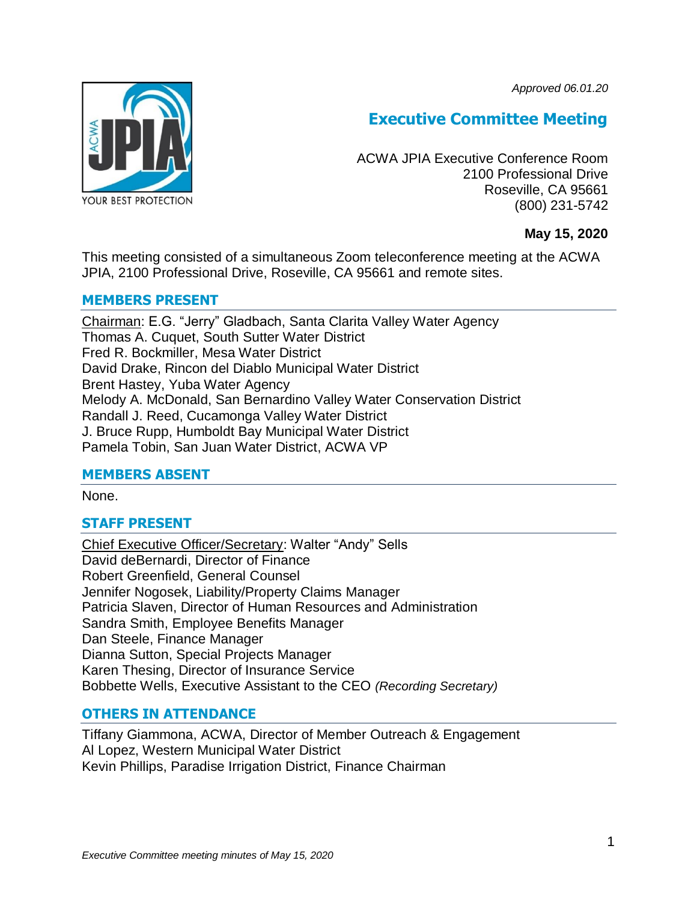*Approved 06.01.20*



# **Executive Committee Meeting**

ACWA JPIA Executive Conference Room 2100 Professional Drive Roseville, CA 95661 (800) 231-5742

## **May 15, 2020**

This meeting consisted of a simultaneous Zoom teleconference meeting at the ACWA JPIA, 2100 Professional Drive, Roseville, CA 95661 and remote sites.

## **MEMBERS PRESENT**

Chairman: E.G. "Jerry" Gladbach, Santa Clarita Valley Water Agency Thomas A. Cuquet, South Sutter Water District Fred R. Bockmiller, Mesa Water District David Drake, Rincon del Diablo Municipal Water District Brent Hastey, Yuba Water Agency Melody A. McDonald, San Bernardino Valley Water Conservation District Randall J. Reed, Cucamonga Valley Water District J. Bruce Rupp, Humboldt Bay Municipal Water District Pamela Tobin, San Juan Water District, ACWA VP

#### **MEMBERS ABSENT**

None.

# **STAFF PRESENT**

Chief Executive Officer/Secretary: Walter "Andy" Sells David deBernardi, Director of Finance Robert Greenfield, General Counsel Jennifer Nogosek, Liability/Property Claims Manager Patricia Slaven, Director of Human Resources and Administration Sandra Smith, Employee Benefits Manager Dan Steele, Finance Manager Dianna Sutton, Special Projects Manager Karen Thesing, Director of Insurance Service Bobbette Wells, Executive Assistant to the CEO *(Recording Secretary)*

#### **OTHERS IN ATTENDANCE**

Tiffany Giammona, ACWA, Director of Member Outreach & Engagement Al Lopez, Western Municipal Water District Kevin Phillips, Paradise Irrigation District, Finance Chairman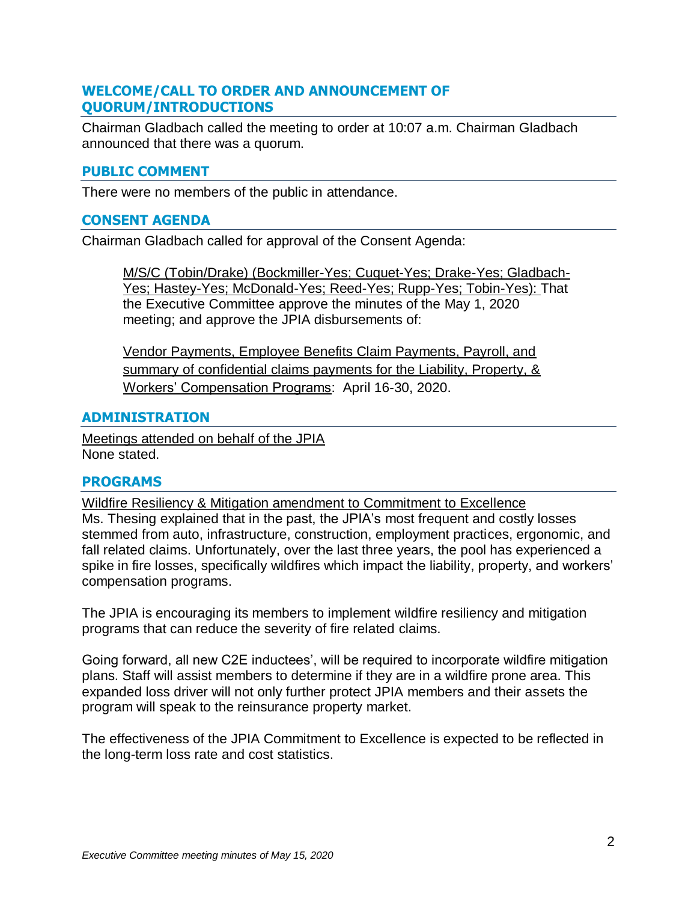## **WELCOME/CALL TO ORDER AND ANNOUNCEMENT OF QUORUM/INTRODUCTIONS**

Chairman Gladbach called the meeting to order at 10:07 a.m. Chairman Gladbach announced that there was a quorum.

# **PUBLIC COMMENT**

There were no members of the public in attendance.

## **CONSENT AGENDA**

Chairman Gladbach called for approval of the Consent Agenda:

M/S/C (Tobin/Drake) (Bockmiller-Yes; Cuquet-Yes; Drake-Yes; Gladbach-Yes; Hastey-Yes; McDonald-Yes; Reed-Yes; Rupp-Yes; Tobin-Yes): That the Executive Committee approve the minutes of the May 1, 2020 meeting; and approve the JPIA disbursements of:

Vendor Payments, Employee Benefits Claim Payments, Payroll, and summary of confidential claims payments for the Liability, Property, & Workers' Compensation Programs: April 16-30, 2020.

## **ADMINISTRATION**

Meetings attended on behalf of the JPIA None stated.

# **PROGRAMS**

Wildfire Resiliency & Mitigation amendment to Commitment to Excellence Ms. Thesing explained that in the past, the JPIA's most frequent and costly losses stemmed from auto, infrastructure, construction, employment practices, ergonomic, and fall related claims. Unfortunately, over the last three years, the pool has experienced a spike in fire losses, specifically wildfires which impact the liability, property, and workers' compensation programs.

The JPIA is encouraging its members to implement wildfire resiliency and mitigation programs that can reduce the severity of fire related claims.

Going forward, all new C2E inductees', will be required to incorporate wildfire mitigation plans. Staff will assist members to determine if they are in a wildfire prone area. This expanded loss driver will not only further protect JPIA members and their assets the program will speak to the reinsurance property market.

The effectiveness of the JPIA Commitment to Excellence is expected to be reflected in the long-term loss rate and cost statistics.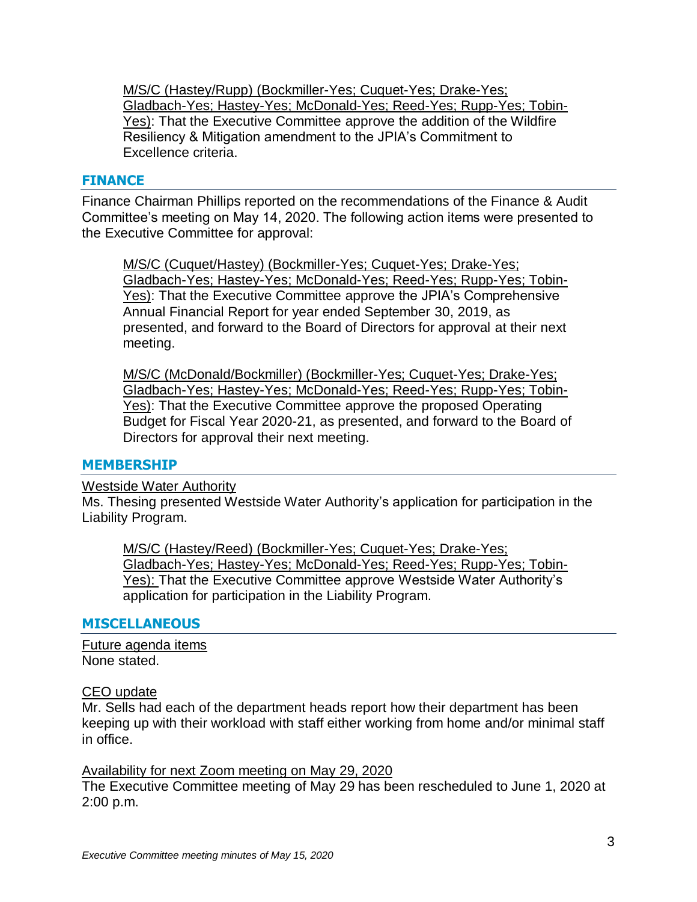M/S/C (Hastey/Rupp) (Bockmiller-Yes; Cuquet-Yes; Drake-Yes; Gladbach-Yes; Hastey-Yes; McDonald-Yes; Reed-Yes; Rupp-Yes; Tobin-Yes): That the Executive Committee approve the addition of the Wildfire Resiliency & Mitigation amendment to the JPIA's Commitment to Excellence criteria.

#### **FINANCE**

Finance Chairman Phillips reported on the recommendations of the Finance & Audit Committee's meeting on May 14, 2020. The following action items were presented to the Executive Committee for approval:

M/S/C (Cuquet/Hastey) (Bockmiller-Yes; Cuquet-Yes; Drake-Yes; Gladbach-Yes; Hastey-Yes; McDonald-Yes; Reed-Yes; Rupp-Yes; Tobin-Yes): That the Executive Committee approve the JPIA's Comprehensive Annual Financial Report for year ended September 30, 2019, as presented, and forward to the Board of Directors for approval at their next meeting.

M/S/C (McDonald/Bockmiller) (Bockmiller-Yes; Cuquet-Yes; Drake-Yes; Gladbach-Yes; Hastey-Yes; McDonald-Yes; Reed-Yes; Rupp-Yes; Tobin-Yes): That the Executive Committee approve the proposed Operating Budget for Fiscal Year 2020-21, as presented, and forward to the Board of Directors for approval their next meeting.

#### **MEMBERSHIP**

#### Westside Water Authority

Ms. Thesing presented Westside Water Authority's application for participation in the Liability Program.

M/S/C (Hastey/Reed) (Bockmiller-Yes; Cuquet-Yes; Drake-Yes; Gladbach-Yes; Hastey-Yes; McDonald-Yes; Reed-Yes; Rupp-Yes; Tobin-Yes): That the Executive Committee approve Westside Water Authority's application for participation in the Liability Program.

#### **MISCELLANEOUS**

Future agenda items None stated.

#### CEO update

Mr. Sells had each of the department heads report how their department has been keeping up with their workload with staff either working from home and/or minimal staff in office.

Availability for next Zoom meeting on May 29, 2020

The Executive Committee meeting of May 29 has been rescheduled to June 1, 2020 at 2:00 p.m.